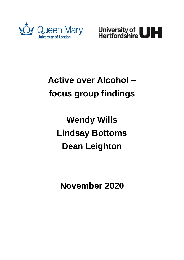



## **Active over Alcohol – focus group findings**

# **Wendy Wills Lindsay Bottoms Dean Leighton**

**November 2020**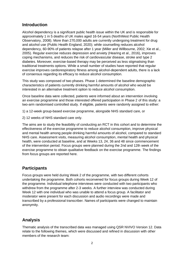### **Introduction**

Alcohol dependency is a significant public health issue within the UK and is responsible for approximately 1 in 5 deaths of UK males aged 16-54 years (NorthWest Public Health Observatory, 2008). More than 270,000 adults are currently undergoing treatment for drug and alcohol use (Public Health England, 2020); while counselling reduces alcohol dependency, 60-90% of patients relapse after 1 year (Miller and Willbourne, 2002; Xie et al., 2005). Regular exercise reduces depression and anxiety (Hearing et al., 2016), improves coping mechanisms, and reduces the risk of cardiovascular disease, stroke and type 2 diabetes. Moreover, exercise-based therapy may be perceived as less stigmatising than traditional treatments options. While a small number of studies have reported that regular exercise improves cardiorespiratory fitness among alcohol-dependent adults, there is a lack of consensus regarding its efficacy to reduce alcohol consumption.

This study was composed of two phases. Phase 1 determined the baseline demographic characteristics of patients currently drinking harmful amounts of alcohol who would be interested in an alternative treatment option to reduce alcohol consumption.

Once baseline data were collected, patients were informed about an intervention involving an exercise programme and those interested offered participation in Phase 2 of this study: a two-arm randomised controlled study. If eligible, patients were randomly assigned to either:

- 1) a 12-week group-based exercise programme, alongside NHS standard care, or
- 2) 12 weeks of NHS standard care only.

The aims are to study the feasibility of conducting an RCT in this cohort and to determine the effectiveness of the exercise programme to reduce alcohol consumption, improve physical and mental health among people drinking harmful amounts of alcohol, compared to standard NHS care. Assessment visits, measuring alcohol consumption, mental health and physical health, were conducted at baseline, and at Weeks 13, 24, 36 and 48 since commencement of the intervention period. Focus groups were planned during the 2nd and 12th week of the exercise programme to obtain qualitative feedback on the exercise programme. The findings from focus groups are reported here.

## **Participants**

Focus groups were held during Week 2 of the programme, with two different cohorts undertaking the programme. Both cohorts reconvened for focus groups during Week 12 of the programme. Individual telephone interviews were conducted with two participants who withdrew from the programme after 2-3 weeks. A further interview was conducted during Week 12 with one individual who was unable to attend a focus group. A facilitator and moderator were present for each discussion and audio recordings were made and transcribed by a professional transcriber. Names of participants were changed to maintain anonymity.

## **Analysis**

Thematic analysis of the transcribed data was managed using QSR NVIVO Version 12. Data relate to the following themes, which were discussed and refined in discussion with other members of the research team: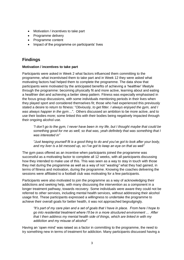- Motivation / incentives to take part
- Programme delivery
- Programme content
- Impact of the programme on participants' lives

## **Findings**

#### **Motivation / incentives to take part**

Participants were asked in Week 2 what factors influenced them committing to the programme, what incentivised them to take part and in Week 12 they were asked what motivating factors had helped them to complete the programme. The data show that participants were motivated by the anticipated benefits of achieving a 'healthier' lifestyle through the programme: becoming physically fit and more active, learning about and eating a healthier diet and achieving a better sleep pattern. Fitness was especially emphasised in the focus group discussions, with some individuals mentioning periods in their lives when they played sport and considered themselves fit; those who had experienced this previously stated a desire to return to fitness: "*Obviously, to get fitter. I always enjoyed the gym, and I was always happier in the gym*…". Others discussed an ambition to be more active, and to use their bodies more; some linked this with their bodies being negatively impacted through their ongoing alcohol use.

*"I don't go to the gym, I never have been in my life, but I thought maybe that could be something good for me as well, so that was, yeah definitely that was something that I was interested in"*

*"Just keeping yourself fit is a good thing to do and you've got to look after your body, and my liver is a bit messed up, so I've got to keep an eye on that as well"*

The gym pass offered as an incentive when participants joined the programme was successful as a motivating factor to complete all 12 weeks, with all participants discussing how they intended to make use of this. This was seen as a way to stay in touch with those they met during the programme as well as a way of not "*wasting"* what they had gained, in terms of fitness and motivation, during the programme. Knowing the coaches delivering the sessions were affiliated to a football club was motivating for a few participants.

Participants were also motivated to join the programme as a way of acknowledging their addictions and seeking help, with many discussing the intervention as a component in a longer treatment pathway, towards recovery. Some individuals were aware they could not be referred to other services, including mental health services, without addressing their alcohol usage first. These participants expressed a willingness to undertake the programme to achieve their overall goals for better health, it was not approached begrudgingly.

*"It's part of my care plan and a set of goals that I have in place. From here I hope to go into residential treatment where I'll be in a more structured environment ... After that I then address my mental health side of things, which are linked in with my addiction and my misuse of alcohol"*

Having an 'open mind' was raised as a factor in committing to the programme, the need to try something new in terms of treatment for addiction. Many participants discussed having a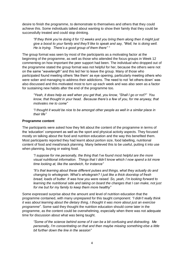desire to finish the programme, to demonstrate to themselves and others that they could achieve this. Some individuals talked about wanting to show their family that they could be successfully treated and could stop drinking.

*"If they think you're doing it for 12 weeks and you bring them along then it might just give a boost to your family and they'll like to speak and say, "Well, he is doing well. He is trying. There's a good group of them there" "*

The group format was seen by most of the participants as a motivating factor at the beginning of the programme, as well as those who attended the focus groups in Week 12 commenting on how important the peer support had been. The individual who dropped out of the programme stated the group format was not helpful for her, because the others were not on the same "*wavelength"* and this led her to leave the group*.* Many of those who participated found meeting others 'like them' as eye opening, particularly meeting others who were sober and managing to address their addictions. The need to not 'let others down' was also discussed and this motivated most to turn up each week and was also seen as a factor for sustaining new habits after the end of the programme too.

*"Yeah, it does help as well when you get that, you know, "Shall I go or not?" You know, that thought in your head. Because there's a few of you, for me anyway, that motivates me to come"*

*"I thought it would be nice to be amongst other people as well in a similar place in their life"*

#### **Programme content**

The participants were asked how they felt about the content of the programme in terms of the 'education' component as well as the sport and physical activity aspects. They focused mostly on talking about the food and nutrition education and the way this benefited them. Most participants reported they had learnt about portion size, food labelling, nutritional content of food and meal/snack planning. Many believed this to be useful, putting it into use when planning, buying or eating food.

*"I suppose for me personally, the thing that I've found most helpful are the more visual nutritional information. Things that I didn't know which I now spend a lot more time looking at, like the sandwich, for instance"* 

*"It's that learning about these different pulses and things, what they actually do and changing to wholegrain. What's wholegrain? I just like a thick doorstop of fresh bread, loads of butter. It was how you were raised. So, yeah, I'm looking forward to learning the nutritional side and taking on board the changes that I can make, not just for me but for my family to keep them more healthy"*

Some expressed surprise about the amount and level of nutrition education that the programme contained, with many unprepared for this taught component: *"I didn't really think it was about learning about the dietary thing, I thought it was more about just an exercise programme*". Some said they thought the nutrition education should come later in the programme, as the content could be overwhelming, especially when there was not adequate time for discussion about what was being taught.

*"Some of the science behind some of it can be a bit confusing and distracting. Me personally, I'm concentrating on that and then maybe missing something else a little bit further down the line in the session"*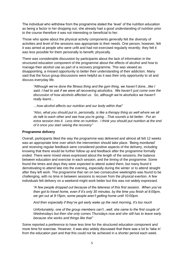The individual who withdrew from the programme stated the 'level' of the nutrition education as being a factor in her dropping out; she already had a good understanding of nutrition prior to the course therefore it was not interesting or beneficial to her.

Those who spoke about the physical activity components generally felt the diversity of activities and level of the sessions was appropriate to their needs. One person, however, felt it was aimed at people who were unfit and had not exercised regularly recently; they felt it was less possible for them personally to benefit, physically.

There was considerable discussion by participants about the lack of information in the structured education component of the programme about the effects of alcohol and how to manage their alcohol use as part of a recovery programme. This was viewed as disappointing, a missed opportunity to better their understanding of their addiction. Many said that the focus group discussions were helpful as it was their only opportunity to sit and discuss everyday life.

*"Although we've done the fitness thing and the gym thing, we haven't done...like I said, I had to ask if we were all recovering alcoholics. We haven't just come over the discussion of how alcohols affected us. So, although we're alcoholics we haven't really learnt...*

*…how alcohol affects our nutrition and our body within that"*

*"Also, what you should put in, personally, is like a therapy thing as well where we all do talk to each other and see how you're going…That sounds a bit better. Put an extra session into it. Less time on nutrition. I think you should put nutrition at the end of it once you start seeing the recovery"*

#### **Programme delivery**

Overall, participants liked the way the programme was delivered and almost all felt 12 weeks was an appropriate time over which the intervention should take place. 'Being monitored' and receiving regular feedback were considered positive aspects of the delivery, including knowing that there would be further follow up and feedback after the programme formally ended. There were mixed views expressed about the length of the sessions, the balance between education and exercise in each session, and the timing of the programme. Some found the times and days they were expected to attend suited them, but many found it demotivating to attend late into the evening, especially during the winter or to attend straight after they left work. The programme that ran on two consecutive weeknights was found to be challenging, with no time in between sessions to recover from the physical exertion. A few individuals felt delivery on a weekend might work better but this was not widely expressed.

*"A few people dropped out because of the lateness of this first session. When you've then got to travel home, even if it's only 30 minutes, by the time you finish at 9:00pm, we get out at 9:15pm, some people aren't getting home until 10:00pm.* 

*And then especially if they've got early wake up the next morning, it's too much*

*Unfortunately, one of the group members can't...well, she came to the first couple of Wednesdays but then she only comes Thursdays now and she still has to leave early because she works and things like that"*

Some reported a preference to have less time for the structured education component and more time for exercise. However, it was also widely discussed that there was a lot to 'take in' from the education part and that this could not be achieved in a shorter period each week.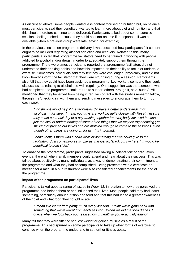As discussed above, some people wanted less content focused on nutrition but, on balance, most participants said they benefited, wanted to learn more about diet and nutrition and that this should therefore continue to be delivered. Participants talked about some exercise sessions feeling rushed, because they could not start on time if the sports hall was not available (when a previous group were late leaving, for example).

In the previous section on programme delivery it was described how participants felt content ought to be included regarding alcohol addiction and recovery. Related to this, many participants also felt that programme facilitators need to be trained in working with people addicted to alcohol and/or drugs, in order to adequately support them through the programme. There were times participants reported that programme facilitators did not understand their drinking habits and how this impacted on their ability to focus or undertake exercise. Sometimes individuals said they felt they were challenged, physically, and did not know how to inform the facilitator that they were struggling during a session. Participants also felt that they could have been assigned a programme 'key worker', someone they could discuss issues relating to alcohol use with regularly. One suggestion was that someone who had completed the programme could return to support others through it, as a 'buddy'. All mentioned that they benefited from being in regular contact with the study's research fellow, through his 'checking in' with them and sending messages to encourage them to turn up each week.

*"I do think it would help if the facilitators did have a better understanding of alcoholism, for sure. I mean you guys are working quite closely with Reset, I'm sure they could put a half day or a day training together for everybody involved because just the lack of understanding of some of the things that we may be experiencing yet still kind of pushed ourselves and are motived enough to come to the sessions, even though other things are going on for us. It's important.* 

*I don't know, if there was a code word or something that we could give to the facilitator. Just something as simple as that just to, "Back off, I'm here." It would be beneficial to both sides"*

To enhance the programme, participants suggested having a 'celebration' or graduation event at the end, when family members could attend and hear about their success. This was talked about positively by many individuals, as a way of demonstrating their commitment to the programme and what they had accomplished. Being presented with a certificate or meeting for a meal in a pub/restaurant were also considered enhancements for the end of the programme.

#### **Impact of the programme on participants' lives**

Participants talked about a range of issues in Week 12, in relation to how they perceived the programme had helped them or had influenced their lives. Most people said they had learnt something, particularly about nutrition and food and that this had led to a greater awareness of their diet and what food they bought or ate.

*"I mean I've learnt from pretty much every session. I think we've gone back with something that we've learnt from each session. When we did the food diaries, I guess when we look back you realise how unhealthily you're actually eating*"

Many felt that they were fitter or had lost weight or gained muscle as a result of the programme. This had spurred on some participants to take up other forms of exercise, to continue when the programme ended and to set further fitness goals.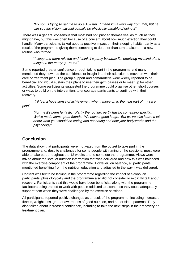*"My son is trying to get me to do a 10k run. I mean I'm a long way from that, but he can see the vision …would actually be physically capable of doing it"*

There was a general consensus that most had not 'pushed themselves' as much as they might have, but this was often because of a concern about how much exertion they could handle. Many participants talked about a positive impact on their sleeping habits, partly as a result of the programme giving them something to do other than turn to alcohol – a new routine was formed.

"*I sleep and more relaxed and I think it's partly because I'm emptying my mind of the things on the merry-go-round".*

Some reported greater confidence through taking part in the programme and many mentioned they now had the confidence or insight into their addiction to move on with their care or treatment plan. The group support and camaraderie were widely reported to be beneficial and would sustain their plans to use their gym passes or to meet up for other activities. Some participants suggested the programme could organise other 'short courses' or ways to build on the intervention, to encourage participants to continue with their recovery*.*

*"I'll feel a huge sense of achievement when I move on to the next part of my care plan".*

*"For me it's been fantastic. Partly the routine, partly having something specific. We've made some great friends. We have a good laugh. But we've also learnt a lot about what you should be eating and not eating and how your body works and the psychology"*

## **Conclusion**

The data show that participants were motivated from the outset to take part in the programme and, despite challenges for some people with timing of the sessions, most were able to take part throughout the 12 weeks and to complete the programme. Views were mixed about the level of nutrition information that was delivered and how this was balanced with the exercise component of the programme. However, on balance, all participants mentioned benefiting from the nutrition education and adjusted to the way it was delivered.

Content was felt to be lacking in the programme regarding the impact of alcohol on participants' physiologically and the programme also did not consider or explicitly talk about recovery. Participants said this would have been beneficial, along with the programme facilitators being trained to work with people addicted to alcohol, so they could adequately support them when they were challenged by the exercise sessions.

All participants reported positive changes as a result of the programme, including increased fitness, weight loss, greater awareness of good nutrition, and better sleep patterns. They also talked about increased confidence, including to take the next steps in their recovery or treatment plan.